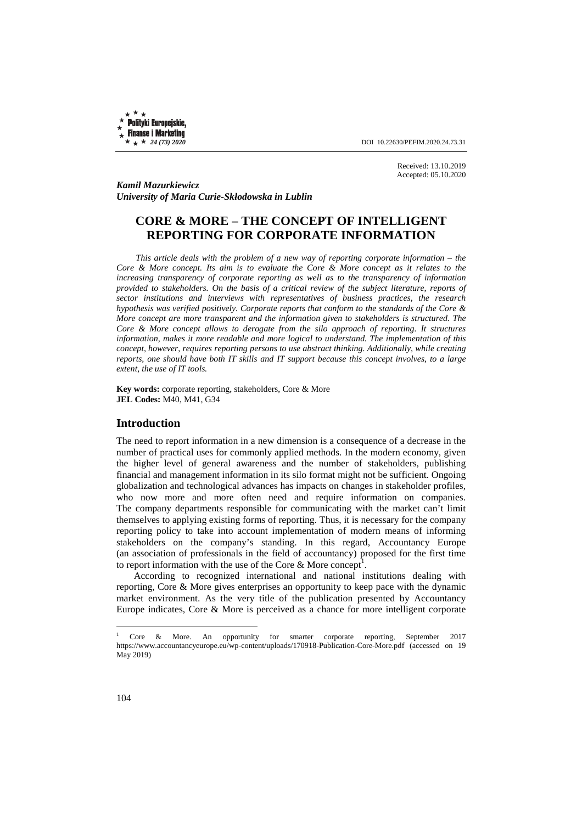Polityki Europejskie, **Finanse i Marketing** 

 $\star \star \star 24$  (73) 2020 **DOI** 10.22630/PEFIM.2020.24.73.31

Received: 13.10.2019 Accepted: 05.10.2020

*Kamil Mazurkiewicz University of Maria Curie-Skłodowska in Lublin* 

## **CORE & MORE – THE CONCEPT OF INTELLIGENT REPORTING FOR CORPORATE INFORMATION**

*This article deals with the problem of a new way of reporting corporate information – the Core & More concept. Its aim is to evaluate the Core & More concept as it relates to the increasing transparency of corporate reporting as well as to the transparency of information provided to stakeholders. On the basis of a critical review of the subject literature, reports of sector institutions and interviews with representatives of business practices, the research hypothesis was verified positively. Corporate reports that conform to the standards of the Core & More concept are more transparent and the information given to stakeholders is structured. The Core & More concept allows to derogate from the silo approach of reporting. It structures information, makes it more readable and more logical to understand. The implementation of this concept, however, requires reporting persons to use abstract thinking. Additionally, while creating reports, one should have both IT skills and IT support because this concept involves, to a large extent, the use of IT tools.* 

**Key words:** corporate reporting, stakeholders, Core & More **JEL Codes:** M40, M41, G34

## **Introduction**

The need to report information in a new dimension is a consequence of a decrease in the number of practical uses for commonly applied methods. In the modern economy, given the higher level of general awareness and the number of stakeholders, publishing financial and management information in its silo format might not be sufficient. Ongoing globalization and technological advances has impacts on changes in stakeholder profiles, who now more and more often need and require information on companies. The company departments responsible for communicating with the market can't limit themselves to applying existing forms of reporting. Thus, it is necessary for the company reporting policy to take into account implementation of modern means of informing stakeholders on the company's standing. In this regard, Accountancy Europe (an association of professionals in the field of accountancy) proposed for the first time to report information with the use of the Core & More concept<sup>1</sup>.

According to recognized international and national institutions dealing with reporting, Core & More gives enterprises an opportunity to keep pace with the dynamic market environment. As the very title of the publication presented by Accountancy Europe indicates, Core & More is perceived as a chance for more intelligent corporate

 $\overline{a}$ 

<sup>1</sup> Core & More. An opportunity for smarter corporate reporting, September 2017 https://www.accountancyeurope.eu/wp-content/uploads/170918-Publication-Core-More.pdf (accessed on 19 May 2019)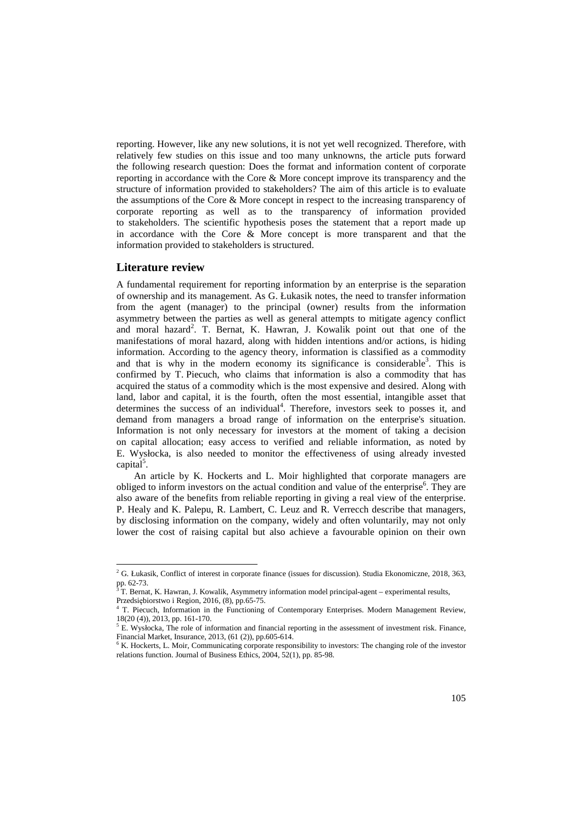reporting. However, like any new solutions, it is not yet well recognized. Therefore, with relatively few studies on this issue and too many unknowns, the article puts forward the following research question: Does the format and information content of corporate reporting in accordance with the Core & More concept improve its transparency and the structure of information provided to stakeholders? The aim of this article is to evaluate the assumptions of the Core & More concept in respect to the increasing transparency of corporate reporting as well as to the transparency of information provided to stakeholders. The scientific hypothesis poses the statement that a report made up in accordance with the Core & More concept is more transparent and that the information provided to stakeholders is structured.

#### **Literature review**

l

A fundamental requirement for reporting information by an enterprise is the separation of ownership and its management. As G. Łukasik notes, the need to transfer information from the agent (manager) to the principal (owner) results from the information asymmetry between the parties as well as general attempts to mitigate agency conflict and moral hazard<sup>2</sup>. T. Bernat, K. Hawran, J. Kowalik point out that one of the manifestations of moral hazard, along with hidden intentions and/or actions, is hiding information. According to the agency theory, information is classified as a commodity and that is why in the modern economy its significance is considerable<sup>3</sup>. This is confirmed by T. Piecuch, who claims that information is also a commodity that has acquired the status of a commodity which is the most expensive and desired. Along with land, labor and capital, it is the fourth, often the most essential, intangible asset that determines the success of an individual<sup>4</sup>. Therefore, investors seek to posses it, and demand from managers a broad range of information on the enterprise's situation. Information is not only necessary for investors at the moment of taking a decision on capital allocation; easy access to verified and reliable information, as noted by E. Wysłocka, is also needed to monitor the effectiveness of using already invested  $\ddot{\text{capital}}^5$ .

An article by K. Hockerts and L. Moir highlighted that corporate managers are obliged to inform investors on the actual condition and value of the enterprise<sup>6</sup>. They are also aware of the benefits from reliable reporting in giving a real view of the enterprise. P. Healy and K. Palepu, R. Lambert, C. Leuz and R. Verrecch describe that managers, by disclosing information on the company, widely and often voluntarily, may not only lower the cost of raising capital but also achieve a favourable opinion on their own

<sup>&</sup>lt;sup>2</sup> G. Łukasik, Conflict of interest in corporate finance (issues for discussion). Studia Ekonomiczne, 2018, 363, pp. 62-73.<br><sup>3</sup> T. Perre

T. Bernat, K. Hawran, J. Kowalik, Asymmetry information model principal-agent – experimental results, Przedsiębiorstwo i Region, 2016, (8), pp.65-75.

<sup>4</sup> T. Piecuch, Information in the Functioning of Contemporary Enterprises. Modern Management Review, 18(20 (4)), 2013, pp. 161-170.

 $<sup>5</sup>$  E. Wysłocka, The role of information and financial reporting in the assessment of investment risk. Finance,</sup> Financial Market, Insurance, 2013, (61 (2)), pp.605-614.

<sup>&</sup>lt;sup>6</sup> K. Hockerts, L. Moir, Communicating corporate responsibility to investors: The changing role of the investor relations function. Journal of Business Ethics, 2004, 52(1), pp. 85-98.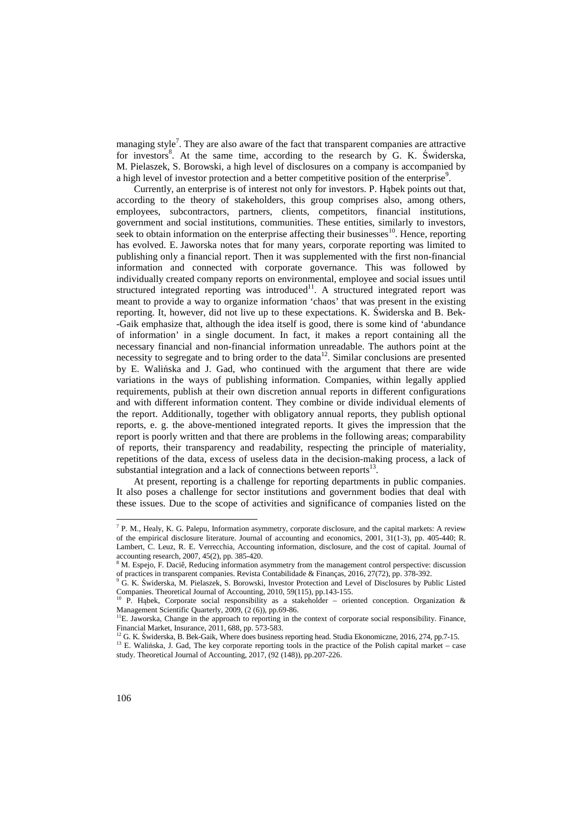managing style<sup>7</sup>. They are also aware of the fact that transparent companies are attractive for investors<sup>8</sup>. At the same time, according to the research by G. K. Świderska, M. Pielaszek, S. Borowski, a high level of disclosures on a company is accompanied by a high level of investor protection and a better competitive position of the enterprise<sup>9</sup>.

Currently, an enterprise is of interest not only for investors. P. Hąbek points out that, according to the theory of stakeholders, this group comprises also, among others, employees, subcontractors, partners, clients, competitors, financial institutions, government and social institutions, communities. These entities, similarly to investors, seek to obtain information on the enterprise affecting their businesses $^{10}$ . Hence, reporting has evolved. E. Jaworska notes that for many years, corporate reporting was limited to publishing only a financial report. Then it was supplemented with the first non-financial information and connected with corporate governance. This was followed by individually created company reports on environmental, employee and social issues until structured integrated reporting was introduced<sup>11</sup>. A structured integrated report was meant to provide a way to organize information 'chaos' that was present in the existing reporting. It, however, did not live up to these expectations. K. Świderska and B. Bek- -Gaik emphasize that, although the idea itself is good, there is some kind of 'abundance of information' in a single document. In fact, it makes a report containing all the necessary financial and non-financial information unreadable. The authors point at the necessity to segregate and to bring order to the data $12$ . Similar conclusions are presented by E. Walińska and J. Gad, who continued with the argument that there are wide variations in the ways of publishing information. Companies, within legally applied requirements, publish at their own discretion annual reports in different configurations and with different information content. They combine or divide individual elements of the report. Additionally, together with obligatory annual reports, they publish optional reports, e. g. the above-mentioned integrated reports. It gives the impression that the report is poorly written and that there are problems in the following areas; comparability of reports, their transparency and readability, respecting the principle of materiality, repetitions of the data, excess of useless data in the decision-making process, a lack of substantial integration and a lack of connections between reports $^{13}$ .

At present, reporting is a challenge for reporting departments in public companies. It also poses a challenge for sector institutions and government bodies that deal with these issues. Due to the scope of activities and significance of companies listed on the

<sup>&</sup>lt;sup>7</sup> P. M., Healy, K. G. Palepu, Information asymmetry, corporate disclosure, and the capital markets: A review of the empirical disclosure literature. Journal of accounting and economics, 2001, 31(1-3), pp. 405-440; R. Lambert, C. Leuz, R. E. Verrecchia, Accounting information, disclosure, and the cost of capital. Journal of accounting research, 2007, 45(2), pp. 385-420.<br><sup>8</sup> M. Espejo, F. Daciê, Reducing information asymmetry from the management control perspective: discussion

of practices in transparent companies. Revista Contabilidade & Finanças, 2016, 27(72), pp. 378-392.

<sup>9</sup> G. K. Świderska, M. Pielaszek, S. Borowski, Investor Protection and Level of Disclosures by Public Listed Companies. Theoretical Journal of Accounting, 2010, 59(115), pp.143-155.<br><sup>10</sup> P. Hąbek, Corporate social responsibility as a stakeholder – oriented conception. Organization &

Management Scientific Quarterly, 2009, (2 (6)), pp.69-86.

<sup>&</sup>lt;sup>11</sup>E. Jaworska, Change in the approach to reporting in the context of corporate social responsibility. Finance, Financial Market, Insurance, 2011, 688, pp. 573-583.

<sup>&</sup>lt;sup>12</sup> G. K. Świderska, B. Bek-Gaik, Where does business reporting head. Studia Ekonomiczne, 2016, 274, pp.7-15.

<sup>&</sup>lt;sup>13</sup> E. Walińska, J. Gad, The key corporate reporting tools in the practice of the Polish capital market – case study. Theoretical Journal of Accounting, 2017, (92 (148)), pp.207-226.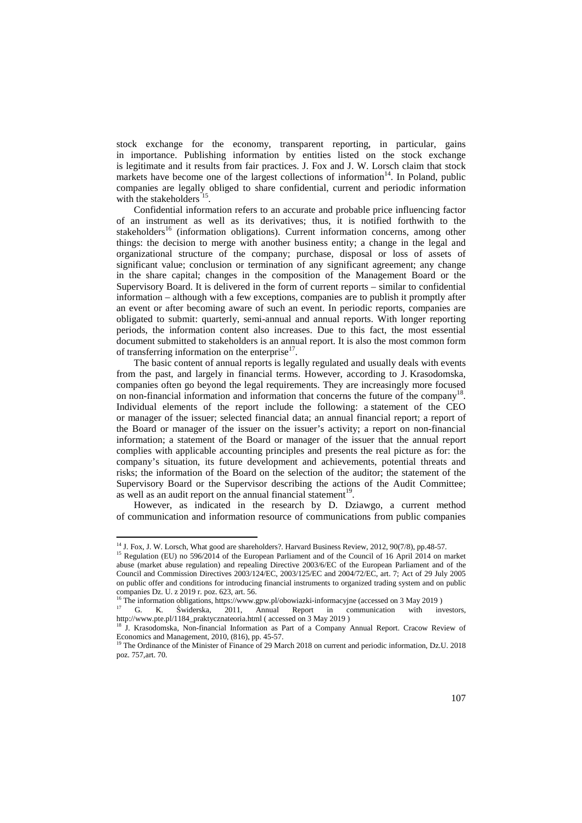stock exchange for the economy, transparent reporting, in particular, gains in importance. Publishing information by entities listed on the stock exchange is legitimate and it results from fair practices. J. Fox and J. W. Lorsch claim that stock markets have become one of the largest collections of information $14$ . In Poland, public companies are legally obliged to share confidential, current and periodic information with the stakeholders  $15$ .

Confidential information refers to an accurate and probable price influencing factor of an instrument as well as its derivatives; thus, it is notified forthwith to the stakeholders<sup>16</sup> (information obligations). Current information concerns, among other things: the decision to merge with another business entity; a change in the legal and organizational structure of the company; purchase, disposal or loss of assets of significant value; conclusion or termination of any significant agreement; any change in the share capital; changes in the composition of the Management Board or the Supervisory Board. It is delivered in the form of current reports – similar to confidential information – although with a few exceptions, companies are to publish it promptly after an event or after becoming aware of such an event. In periodic reports, companies are obligated to submit: quarterly, semi-annual and annual reports. With longer reporting periods, the information content also increases. Due to this fact, the most essential document submitted to stakeholders is an annual report. It is also the most common form of transferring information on the enterprise $17$ .

The basic content of annual reports is legally regulated and usually deals with events from the past, and largely in financial terms. However, according to J. Krasodomska, companies often go beyond the legal requirements. They are increasingly more focused on non-financial information and information that concerns the future of the company<sup>18</sup>. Individual elements of the report include the following: a statement of the CEO or manager of the issuer; selected financial data; an annual financial report; a report of the Board or manager of the issuer on the issuer's activity; a report on non-financial information; a statement of the Board or manager of the issuer that the annual report complies with applicable accounting principles and presents the real picture as for: the company's situation, its future development and achievements, potential threats and risks; the information of the Board on the selection of the auditor; the statement of the Supervisory Board or the Supervisor describing the actions of the Audit Committee; as well as an audit report on the annual financial statement<sup>19</sup>.

However, as indicated in the research by D. Dziawgo, a current method of communication and information resource of communications from public companies

 $\overline{a}$ 

<sup>&</sup>lt;sup>14</sup> J. Fox, J. W. Lorsch, What good are shareholders?. Harvard Business Review, 2012, 90(7/8), pp.48-57.

<sup>&</sup>lt;sup>15</sup> Regulation (EU) no 596/2014 of the European Parliament and of the Council of 16 April 2014 on market abuse (market abuse regulation) and repealing Directive 2003/6/EC of the European Parliament and of the Council and Commission Directives 2003/124/EC, 2003/125/EC and 2004/72/EC, art. 7; Act of 29 July 2005 on public offer and conditions for introducing financial instruments to organized trading system and on public companies Dz. U. z 2019 r. poz. 623, art. 56.

<sup>&</sup>lt;sup>16</sup> The information obligations, https://www.gpw.pl/obowiazki-informacyjne (accessed on 3 May 2019)

<sup>&</sup>lt;sup>17</sup> G. K. Świderska, 2011, Annual Report in communication with investors, http://www.pte.pl/1184\_praktycznateoria.html ( accessed on 3 May 2019 )

<sup>&</sup>lt;sup>18</sup> J. Krasodomska, Non-financial Information as Part of a Company Annual Report. Cracow Review of Economics and Management, 2010, (816), pp. 45-57.

<sup>19</sup> The Ordinance of the Minister of Finance of 29 March 2018 on current and periodic information, Dz.U. 2018 poz. 757,art. 70.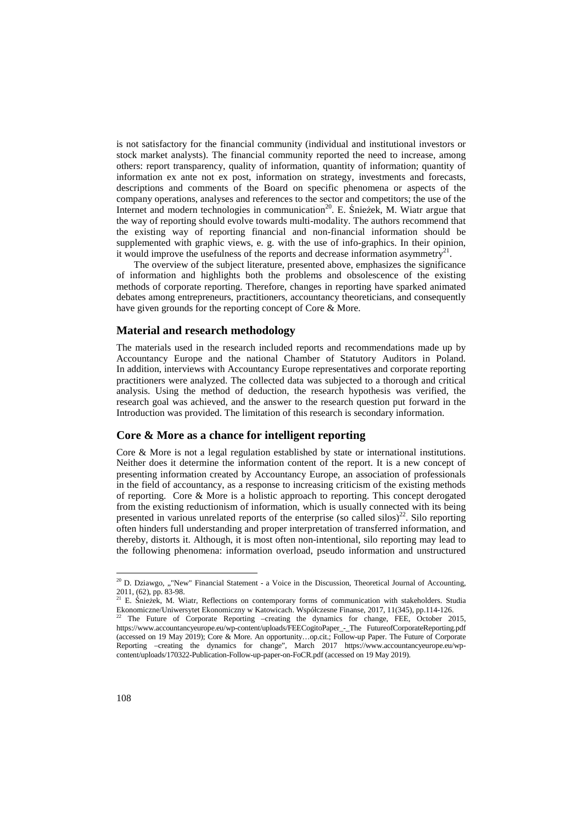is not satisfactory for the financial community (individual and institutional investors or stock market analysts). The financial community reported the need to increase, among others: report transparency, quality of information, quantity of information; quantity of information ex ante not ex post, information on strategy, investments and forecasts, descriptions and comments of the Board on specific phenomena or aspects of the company operations, analyses and references to the sector and competitors; the use of the Internet and modern technologies in communication<sup>20</sup>. E. Śnieżek, M. Wiatr argue that the way of reporting should evolve towards multi-modality. The authors recommend that the existing way of reporting financial and non-financial information should be supplemented with graphic views, e. g. with the use of info-graphics. In their opinion, it would improve the usefulness of the reports and decrease information asymmetry<sup>21</sup>.

The overview of the subject literature, presented above, emphasizes the significance of information and highlights both the problems and obsolescence of the existing methods of corporate reporting. Therefore, changes in reporting have sparked animated debates among entrepreneurs, practitioners, accountancy theoreticians, and consequently have given grounds for the reporting concept of Core & More.

### **Material and research methodology**

The materials used in the research included reports and recommendations made up by Accountancy Europe and the national Chamber of Statutory Auditors in Poland. In addition, interviews with Accountancy Europe representatives and corporate reporting practitioners were analyzed. The collected data was subjected to a thorough and critical analysis. Using the method of deduction, the research hypothesis was verified, the research goal was achieved, and the answer to the research question put forward in the Introduction was provided. The limitation of this research is secondary information.

### **Core & More as a chance for intelligent reporting**

Core & More is not a legal regulation established by state or international institutions. Neither does it determine the information content of the report. It is a new concept of presenting information created by Accountancy Europe, an association of professionals in the field of accountancy, as a response to increasing criticism of the existing methods of reporting. Core & More is a holistic approach to reporting. This concept derogated from the existing reductionism of information, which is usually connected with its being presented in various unrelated reports of the enterprise (so called silos)<sup>22</sup>. Silo reporting often hinders full understanding and proper interpretation of transferred information, and thereby, distorts it. Although, it is most often non-intentional, silo reporting may lead to the following phenomena: information overload, pseudo information and unstructured

<sup>&</sup>lt;sup>20</sup> D. Dziawgo, ""New" Financial Statement - a Voice in the Discussion, Theoretical Journal of Accounting, 2011, (62), pp. 83-98.<br><sup>21</sup> E. Śnieżek, M. Wiatr, Reflections on contemporary forms of communication with stakeholders. Studia

Ekonomiczne/Uniwersytet Ekonomiczny w Katowicach. Współczesne Finanse, 2017, 11(345), pp.114-126.

The Future of Corporate Reporting –creating the dynamics for change, FEE, October 2015, https://www.accountancyeurope.eu/wp-content/uploads/FEECogitoPaper\_-\_The FutureofCorporateReporting.pdf (accessed on 19 May 2019); Core & More. An opportunity…op.cit.; Follow-up Paper. The Future of Corporate Reporting –creating the dynamics for change", March 2017 https://www.accountancyeurope.eu/wpcontent/uploads/170322-Publication-Follow-up-paper-on-FoCR.pdf (accessed on 19 May 2019).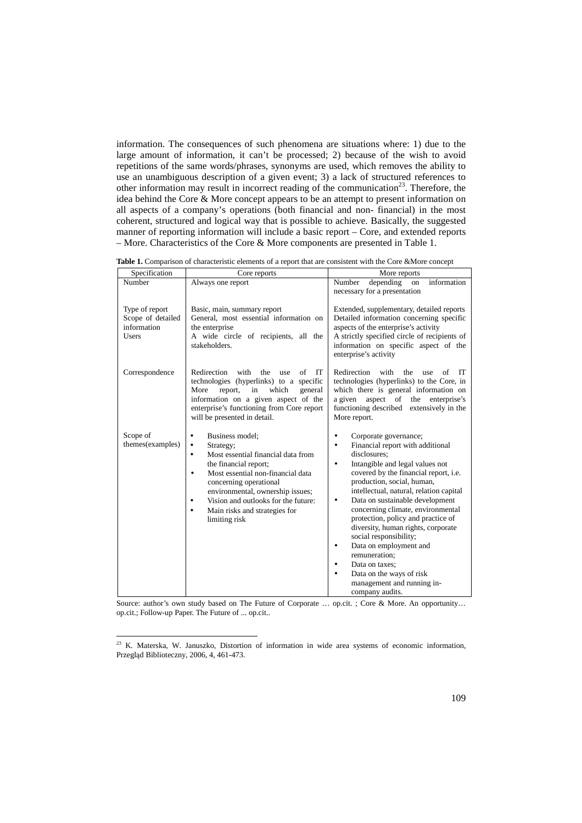information. The consequences of such phenomena are situations where: 1) due to the large amount of information, it can't be processed; 2) because of the wish to avoid repetitions of the same words/phrases, synonyms are used, which removes the ability to use an unambiguous description of a given event; 3) a lack of structured references to other information may result in incorrect reading of the communication<sup>23</sup>. Therefore, the idea behind the Core & More concept appears to be an attempt to present information on all aspects of a company's operations (both financial and non- financial) in the most coherent, structured and logical way that is possible to achieve. Basically, the suggested manner of reporting information will include a basic report – Core, and extended reports – More. Characteristics of the Core & More components are presented in Table 1.

**Table 1.** Comparison of characteristic elements of a report that are consistent with the Core &More concept

| Specification                                                      | Core reports                                                                                                                                                                                                                                                                                                                                                          | More reports                                                                                                                                                                                                                                                                                                                                                                                                                                                                                                                                                                                            |
|--------------------------------------------------------------------|-----------------------------------------------------------------------------------------------------------------------------------------------------------------------------------------------------------------------------------------------------------------------------------------------------------------------------------------------------------------------|---------------------------------------------------------------------------------------------------------------------------------------------------------------------------------------------------------------------------------------------------------------------------------------------------------------------------------------------------------------------------------------------------------------------------------------------------------------------------------------------------------------------------------------------------------------------------------------------------------|
| Number                                                             | Always one report                                                                                                                                                                                                                                                                                                                                                     | Number<br>information<br>depending<br>on<br>necessary for a presentation                                                                                                                                                                                                                                                                                                                                                                                                                                                                                                                                |
| Type of report<br>Scope of detailed<br>information<br><b>Users</b> | Basic, main, summary report<br>General, most essential information on<br>the enterprise<br>A wide circle of recipients, all the<br>stakeholders.                                                                                                                                                                                                                      | Extended, supplementary, detailed reports<br>Detailed information concerning specific<br>aspects of the enterprise's activity<br>A strictly specified circle of recipients of<br>information on specific aspect of the<br>enterprise's activity                                                                                                                                                                                                                                                                                                                                                         |
| Correspondence                                                     | Redirection<br>IT<br>with<br>the<br>of<br>use<br>technologies (hyperlinks) to a specific<br>More<br>report,<br>in<br>which<br>general<br>information on a given aspect of the<br>enterprise's functioning from Core report<br>will be presented in detail.                                                                                                            | Redirection<br>with<br>IT<br>the<br>of<br>use<br>technologies (hyperlinks) to the Core, in<br>which there is general information on<br>a given<br>aspect of the<br>enterprise's<br>functioning described extensively in the<br>More report.                                                                                                                                                                                                                                                                                                                                                             |
| Scope of<br>themes(examples)                                       | Business model:<br>$\bullet$<br>$\bullet$<br>Strategy;<br>Most essential financial data from<br>$\bullet$<br>the financial report;<br>Most essential non-financial data<br>$\bullet$<br>concerning operational<br>environmental, ownership issues;<br>Vision and outlooks for the future:<br>$\bullet$<br>Main risks and strategies for<br>$\bullet$<br>limiting risk | Corporate governance;<br>$\bullet$<br>Financial report with additional<br>$\bullet$<br>disclosures:<br>Intangible and legal values not<br>$\bullet$<br>covered by the financial report, i.e.<br>production, social, human,<br>intellectual, natural, relation capital<br>Data on sustainable development<br>٠<br>concerning climate, environmental<br>protection, policy and practice of<br>diversity, human rights, corporate<br>social responsibility;<br>Data on employment and<br>٠<br>remuneration;<br>Data on taxes:<br>Data on the ways of risk<br>management and running in-<br>company audits. |

Source: author's own study based on The Future of Corporate ... op.cit. ; Core & More. An opportunity... op.cit.; Follow-up Paper. The Future of ... op.cit..

<sup>23</sup> K. Materska, W. Januszko, Distortion of information in wide area systems of economic information, Przegląd Biblioteczny, 2006, 4, 461-473.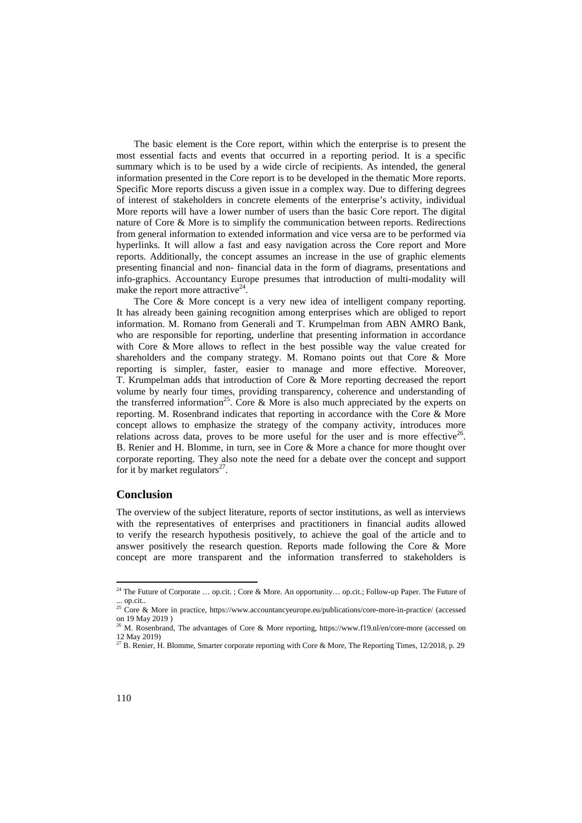The basic element is the Core report, within which the enterprise is to present the most essential facts and events that occurred in a reporting period. It is a specific summary which is to be used by a wide circle of recipients. As intended, the general information presented in the Core report is to be developed in the thematic More reports. Specific More reports discuss a given issue in a complex way. Due to differing degrees of interest of stakeholders in concrete elements of the enterprise's activity, individual More reports will have a lower number of users than the basic Core report. The digital nature of Core & More is to simplify the communication between reports. Redirections from general information to extended information and vice versa are to be performed via hyperlinks. It will allow a fast and easy navigation across the Core report and More reports. Additionally, the concept assumes an increase in the use of graphic elements presenting financial and non- financial data in the form of diagrams, presentations and info-graphics. Accountancy Europe presumes that introduction of multi-modality will make the report more attractive $24$ .

The Core & More concept is a very new idea of intelligent company reporting. It has already been gaining recognition among enterprises which are obliged to report information. M. Romano from Generali and T. Krumpelman from ABN AMRO Bank, who are responsible for reporting, underline that presenting information in accordance with Core & More allows to reflect in the best possible way the value created for shareholders and the company strategy. M. Romano points out that Core & More reporting is simpler, faster, easier to manage and more effective. Moreover, T. Krumpelman adds that introduction of Core & More reporting decreased the report volume by nearly four times, providing transparency, coherence and understanding of the transferred information<sup>25</sup>. Core & More is also much appreciated by the experts on reporting. M. Rosenbrand indicates that reporting in accordance with the Core & More concept allows to emphasize the strategy of the company activity, introduces more relations across data, proves to be more useful for the user and is more effective<sup>26</sup>. B. Renier and H. Blomme, in turn, see in Core & More a chance for more thought over corporate reporting. They also note the need for a debate over the concept and support for it by market regulators<sup>27</sup>.

#### **Conclusion**

The overview of the subject literature, reports of sector institutions, as well as interviews with the representatives of enterprises and practitioners in financial audits allowed to verify the research hypothesis positively, to achieve the goal of the article and to answer positively the research question. Reports made following the Core & More concept are more transparent and the information transferred to stakeholders is

<sup>&</sup>lt;sup>24</sup> The Future of Corporate ... op.cit. ; Core & More. An opportunity... op.cit.; Follow-up Paper. The Future of ... op.cit..

<sup>&</sup>lt;sup>25</sup> Core & More in practice, https://www.accountancyeurope.eu/publications/core-more-in-practice/ (accessed on 19 May 2019 )

<sup>26</sup> M. Rosenbrand, The advantages of Core & More reporting, https://www.f19.nl/en/core-more (accessed on 12 May 2019)

<sup>&</sup>lt;sup>27</sup> B. Renier, H. Blomme, Smarter corporate reporting with Core & More, The Reporting Times,  $12/2018$ , p. 29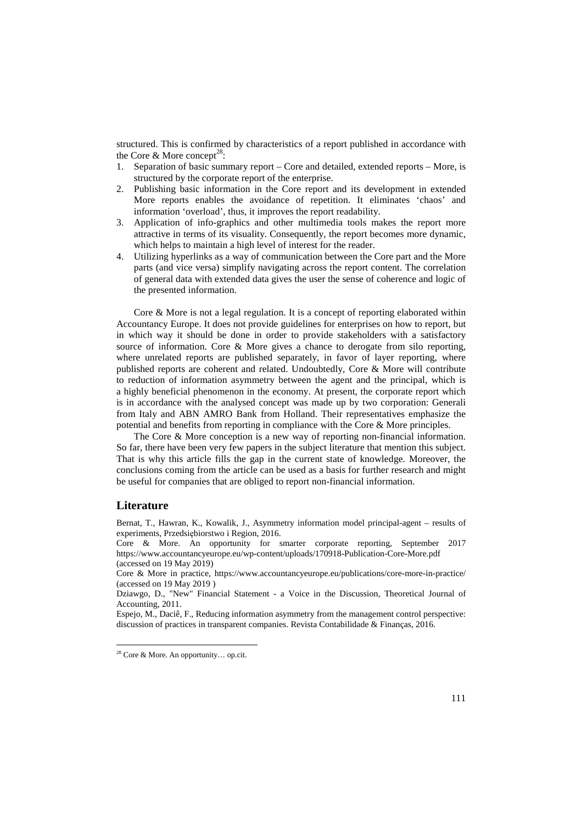structured. This is confirmed by characteristics of a report published in accordance with the Core  $\&$  More concept<sup>28</sup>:

- 1. Separation of basic summary report Core and detailed, extended reports More, is structured by the corporate report of the enterprise.
- 2. Publishing basic information in the Core report and its development in extended More reports enables the avoidance of repetition. It eliminates 'chaos' and information 'overload', thus, it improves the report readability.
- 3. Application of info-graphics and other multimedia tools makes the report more attractive in terms of its visuality. Consequently, the report becomes more dynamic, which helps to maintain a high level of interest for the reader.
- 4. Utilizing hyperlinks as a way of communication between the Core part and the More parts (and vice versa) simplify navigating across the report content. The correlation of general data with extended data gives the user the sense of coherence and logic of the presented information.

Core & More is not a legal regulation. It is a concept of reporting elaborated within Accountancy Europe. It does not provide guidelines for enterprises on how to report, but in which way it should be done in order to provide stakeholders with a satisfactory source of information. Core & More gives a chance to derogate from silo reporting, where unrelated reports are published separately, in favor of layer reporting, where published reports are coherent and related. Undoubtedly, Core & More will contribute to reduction of information asymmetry between the agent and the principal, which is a highly beneficial phenomenon in the economy. At present, the corporate report which is in accordance with the analysed concept was made up by two corporation: Generali from Italy and ABN AMRO Bank from Holland. Their representatives emphasize the potential and benefits from reporting in compliance with the Core & More principles.

The Core & More conception is a new way of reporting non-financial information. So far, there have been very few papers in the subject literature that mention this subject. That is why this article fills the gap in the current state of knowledge. Moreover, the conclusions coming from the article can be used as a basis for further research and might be useful for companies that are obliged to report non-financial information.

### **Literature**

 $\overline{a}$ 

Bernat, T., Hawran, K., Kowalik, J., Asymmetry information model principal-agent – results of experiments, Przedsiębiorstwo i Region, 2016.

Core & More. An opportunity for smarter corporate reporting, September 2017 https://www.accountancyeurope.eu/wp-content/uploads/170918-Publication-Core-More.pdf (accessed on 19 May 2019)

Core & More in practice, https://www.accountancyeurope.eu/publications/core-more-in-practice/ (accessed on 19 May 2019 )

Espejo, M., Daciê, F., Reducing information asymmetry from the management control perspective: discussion of practices in transparent companies. Revista Contabilidade & Finanças, 2016.

Dziawgo, D., "New" Financial Statement - a Voice in the Discussion, Theoretical Journal of Accounting, 2011.

<sup>28</sup> Core & More. An opportunity… op.cit.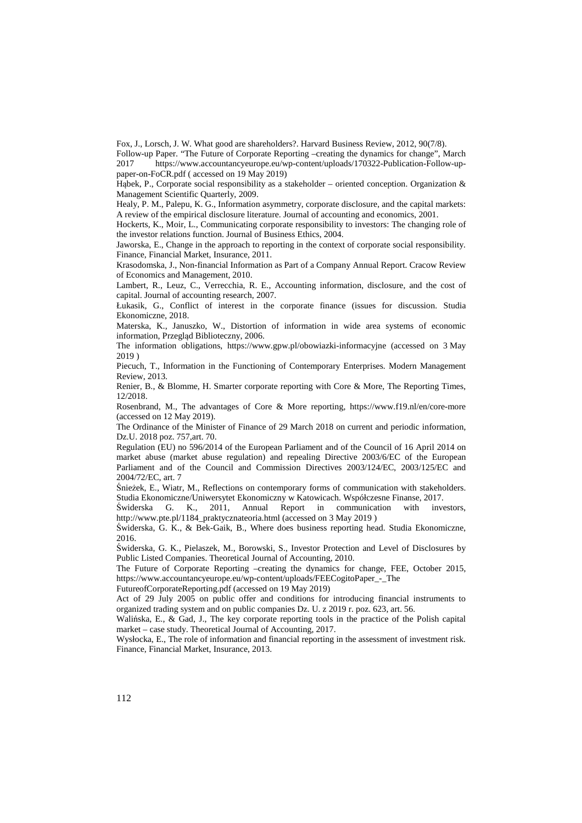Fox, J., Lorsch, J. W. What good are shareholders?. Harvard Business Review, 2012, 90(7/8).

Follow-up Paper. "The Future of Corporate Reporting –creating the dynamics for change", March 2017 https://www.accountancyeurope.eu/wp-content/uploads/170322-Publication-Follow-uppaper-on-FoCR.pdf ( accessed on 19 May 2019)

Habek, P., Corporate social responsibility as a stakeholder – oriented conception. Organization  $\&$ Management Scientific Quarterly, 2009.

Healy, P. M., Palepu, K. G., Information asymmetry, corporate disclosure, and the capital markets: A review of the empirical disclosure literature. Journal of accounting and economics, 2001.

Hockerts, K., Moir, L., Communicating corporate responsibility to investors: The changing role of the investor relations function. Journal of Business Ethics, 2004.

Jaworska, E., Change in the approach to reporting in the context of corporate social responsibility. Finance, Financial Market, Insurance, 2011.

Krasodomska, J., Non-financial Information as Part of a Company Annual Report. Cracow Review of Economics and Management, 2010.

Lambert, R., Leuz, C., Verrecchia, R. E., Accounting information, disclosure, and the cost of capital. Journal of accounting research, 2007.

Łukasik, G., Conflict of interest in the corporate finance (issues for discussion. Studia Ekonomiczne, 2018.

Materska, K., Januszko, W., Distortion of information in wide area systems of economic information, Przegląd Biblioteczny, 2006.

The information obligations, https://www.gpw.pl/obowiazki-informacyjne (accessed on 3 May 2019 )

Piecuch, T., Information in the Functioning of Contemporary Enterprises. Modern Management Review, 2013.

Renier, B., & Blomme, H. Smarter corporate reporting with Core & More, The Reporting Times, 12/2018.

Rosenbrand, M., The advantages of Core & More reporting, https://www.f19.nl/en/core-more (accessed on 12 May 2019).

The Ordinance of the Minister of Finance of 29 March 2018 on current and periodic information, Dz.U. 2018 poz. 757,art. 70.

Regulation (EU) no 596/2014 of the European Parliament and of the Council of 16 April 2014 on market abuse (market abuse regulation) and repealing Directive 2003/6/EC of the European Parliament and of the Council and Commission Directives 2003/124/EC, 2003/125/EC and 2004/72/EC, art. 7

Śnieżek, E., Wiatr, M., Reflections on contemporary forms of communication with stakeholders. Studia Ekonomiczne/Uniwersytet Ekonomiczny w Katowicach. Współczesne Finanse, 2017.

Świderska G. K., 2011, Annual Report in communication with investors, http://www.pte.pl/1184\_praktycznateoria.html (accessed on 3 May 2019 )

Świderska, G. K., & Bek-Gaik, B., Where does business reporting head. Studia Ekonomiczne, 2016.

Świderska, G. K., Pielaszek, M., Borowski, S., Investor Protection and Level of Disclosures by Public Listed Companies. Theoretical Journal of Accounting, 2010.

The Future of Corporate Reporting –creating the dynamics for change, FEE, October 2015, https://www.accountancyeurope.eu/wp-content/uploads/FEECogitoPaper\_-\_The

FutureofCorporateReporting.pdf (accessed on 19 May 2019)

Act of 29 July 2005 on public offer and conditions for introducing financial instruments to organized trading system and on public companies Dz. U. z 2019 r. poz. 623, art. 56.

Walińska, E., & Gad, J., The key corporate reporting tools in the practice of the Polish capital market – case study. Theoretical Journal of Accounting, 2017.

Wysłocka, E., The role of information and financial reporting in the assessment of investment risk. Finance, Financial Market, Insurance, 2013.